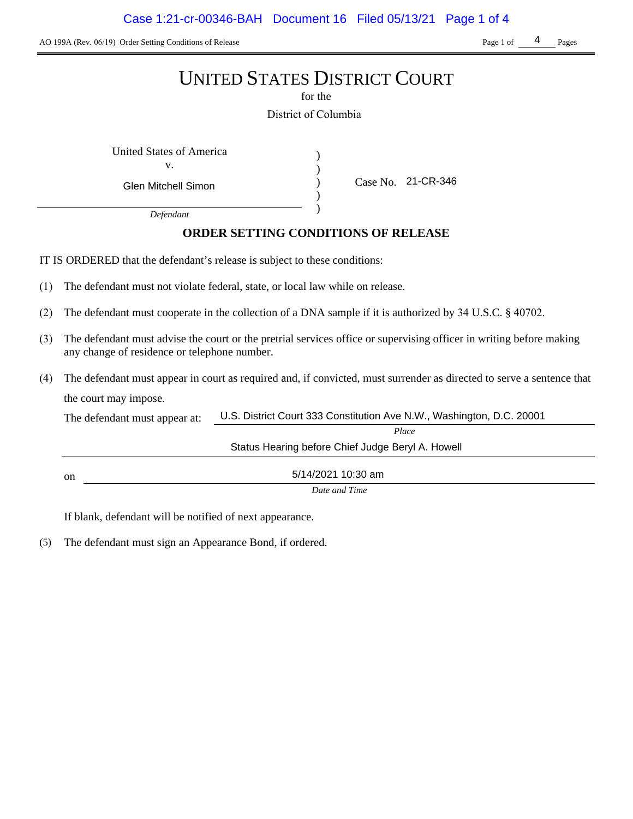AO 199A (Rev. 06/19) Order Setting Conditions of Release Page 1 of Pages Page 1 of Pages

4

# UNITED STATES DISTRICT COURT

for the

District of Columbia

) ) ) )

United States of America (1) v.

Glen Mitchell Simon

Case No. 21-CR-346

*Defendant*

# **ORDER SETTING CONDITIONS OF RELEASE**

IT IS ORDERED that the defendant's release is subject to these conditions:

- (1) The defendant must not violate federal, state, or local law while on release.
- (2) The defendant must cooperate in the collection of a DNA sample if it is authorized by 34 U.S.C. § 40702.
- (3) The defendant must advise the court or the pretrial services office or supervising officer in writing before making any change of residence or telephone number.
- (4) The defendant must appear in court as required and, if convicted, must surrender as directed to serve a sentence that the court may impose.

| The defendant must appear at: | U.S. District Court 333 Constitution Ave N.W., Washington, D.C. 20001 |  |
|-------------------------------|-----------------------------------------------------------------------|--|
|                               | Place                                                                 |  |
|                               | Status Hearing before Chief Judge Beryl A. Howell                     |  |
| on                            | 5/14/2021 10:30 am                                                    |  |
|                               | Date and Time                                                         |  |

If blank, defendant will be notified of next appearance.

(5) The defendant must sign an Appearance Bond, if ordered.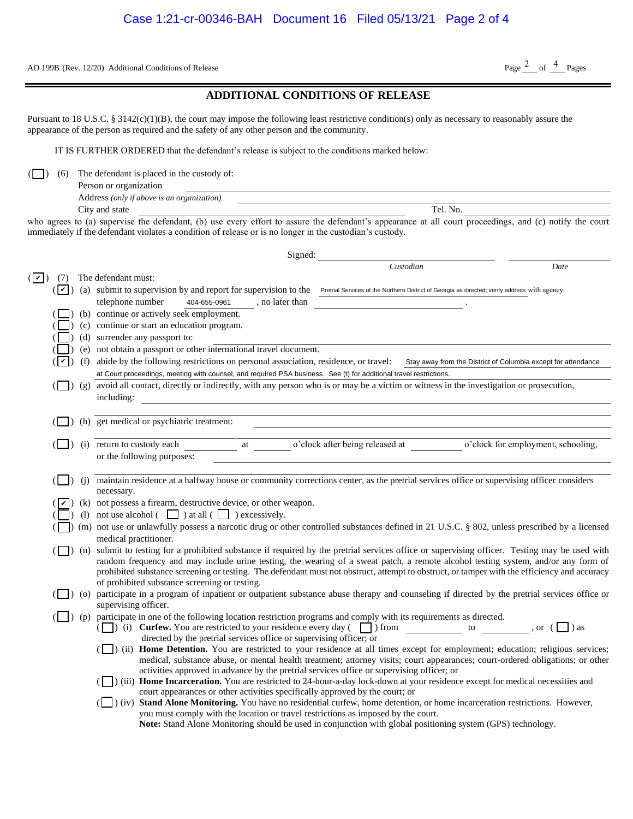AO 199B (Rev. 12/20) Additional Conditions of Release Page  $\frac{2}{\text{Page}}$  of  $\frac{4}{\text{Page}}$  Pages

## **ADDITIONAL CONDITIONS OF RELEASE**

| Person or organization                     |               |
|--------------------------------------------|---------------|
| Address (only if above is an organization) |               |
| City and state                             | . No.<br>Tel. |

|                                                                                                                                                                                                                                                                     |                       |     | AO 199B (Rev. 12/20) Additional Conditions of Release                                                                                                                                                                                                                                                                                                                                                                                                                                                                                                                                                                                                                                                                                                                                                                                                                                                                  | Page $^2$ of $^4$ Pages                                       |  |  |  |
|---------------------------------------------------------------------------------------------------------------------------------------------------------------------------------------------------------------------------------------------------------------------|-----------------------|-----|------------------------------------------------------------------------------------------------------------------------------------------------------------------------------------------------------------------------------------------------------------------------------------------------------------------------------------------------------------------------------------------------------------------------------------------------------------------------------------------------------------------------------------------------------------------------------------------------------------------------------------------------------------------------------------------------------------------------------------------------------------------------------------------------------------------------------------------------------------------------------------------------------------------------|---------------------------------------------------------------|--|--|--|
|                                                                                                                                                                                                                                                                     |                       |     | <b>ADDITIONAL CONDITIONS OF RELEASE</b>                                                                                                                                                                                                                                                                                                                                                                                                                                                                                                                                                                                                                                                                                                                                                                                                                                                                                |                                                               |  |  |  |
|                                                                                                                                                                                                                                                                     |                       |     | Pursuant to 18 U.S.C. § 3142(c)(1)(B), the court may impose the following least restrictive condition(s) only as necessary to reasonably assure the<br>appearance of the person as required and the safety of any other person and the community.                                                                                                                                                                                                                                                                                                                                                                                                                                                                                                                                                                                                                                                                      |                                                               |  |  |  |
|                                                                                                                                                                                                                                                                     |                       |     | IT IS FURTHER ORDERED that the defendant's release is subject to the conditions marked below:                                                                                                                                                                                                                                                                                                                                                                                                                                                                                                                                                                                                                                                                                                                                                                                                                          |                                                               |  |  |  |
|                                                                                                                                                                                                                                                                     | (6)                   |     | The defendant is placed in the custody of:<br>Person or organization                                                                                                                                                                                                                                                                                                                                                                                                                                                                                                                                                                                                                                                                                                                                                                                                                                                   |                                                               |  |  |  |
|                                                                                                                                                                                                                                                                     |                       |     | Address (only if above is an organization)                                                                                                                                                                                                                                                                                                                                                                                                                                                                                                                                                                                                                                                                                                                                                                                                                                                                             |                                                               |  |  |  |
|                                                                                                                                                                                                                                                                     |                       |     | Tel. No.<br>City and state                                                                                                                                                                                                                                                                                                                                                                                                                                                                                                                                                                                                                                                                                                                                                                                                                                                                                             |                                                               |  |  |  |
| who agrees to (a) supervise the defendant, (b) use every effort to assure the defendant's appearance at all court proceedings, and (c) notify the court<br>immediately if the defendant violates a condition of release or is no longer in the custodian's custody. |                       |     |                                                                                                                                                                                                                                                                                                                                                                                                                                                                                                                                                                                                                                                                                                                                                                                                                                                                                                                        |                                                               |  |  |  |
|                                                                                                                                                                                                                                                                     |                       |     |                                                                                                                                                                                                                                                                                                                                                                                                                                                                                                                                                                                                                                                                                                                                                                                                                                                                                                                        |                                                               |  |  |  |
|                                                                                                                                                                                                                                                                     |                       |     | Signed:<br>Custodian                                                                                                                                                                                                                                                                                                                                                                                                                                                                                                                                                                                                                                                                                                                                                                                                                                                                                                   | Date                                                          |  |  |  |
| $(  \vee  )$                                                                                                                                                                                                                                                        | (7)                   |     | The defendant must:                                                                                                                                                                                                                                                                                                                                                                                                                                                                                                                                                                                                                                                                                                                                                                                                                                                                                                    |                                                               |  |  |  |
|                                                                                                                                                                                                                                                                     | $( {\boldsymbol v} )$ |     | (a) submit to supervision by and report for supervision to the<br>Pretrial Services of the Northern District of Georgia as directed; verify address with agency.                                                                                                                                                                                                                                                                                                                                                                                                                                                                                                                                                                                                                                                                                                                                                       |                                                               |  |  |  |
|                                                                                                                                                                                                                                                                     |                       |     | telephone number<br>404-655-0961<br>, no later than                                                                                                                                                                                                                                                                                                                                                                                                                                                                                                                                                                                                                                                                                                                                                                                                                                                                    |                                                               |  |  |  |
|                                                                                                                                                                                                                                                                     |                       |     | (b) continue or actively seek employment.                                                                                                                                                                                                                                                                                                                                                                                                                                                                                                                                                                                                                                                                                                                                                                                                                                                                              |                                                               |  |  |  |
|                                                                                                                                                                                                                                                                     |                       |     | (c) continue or start an education program.<br>(d) surrender any passport to:                                                                                                                                                                                                                                                                                                                                                                                                                                                                                                                                                                                                                                                                                                                                                                                                                                          |                                                               |  |  |  |
|                                                                                                                                                                                                                                                                     |                       |     | (e) not obtain a passport or other international travel document.                                                                                                                                                                                                                                                                                                                                                                                                                                                                                                                                                                                                                                                                                                                                                                                                                                                      |                                                               |  |  |  |
|                                                                                                                                                                                                                                                                     | v                     | (f) | abide by the following restrictions on personal association, residence, or travel:                                                                                                                                                                                                                                                                                                                                                                                                                                                                                                                                                                                                                                                                                                                                                                                                                                     | Stay away from the District of Columbia except for attendance |  |  |  |
|                                                                                                                                                                                                                                                                     |                       |     | at Court proceedings, meeting with counsel, and required PSA business. See (t) for additional travel restrictions.                                                                                                                                                                                                                                                                                                                                                                                                                                                                                                                                                                                                                                                                                                                                                                                                     |                                                               |  |  |  |
|                                                                                                                                                                                                                                                                     |                       |     | (S) (g) avoid all contact, directly or indirectly, with any person who is or may be a victim or witness in the investigation or prosecution,<br>including:                                                                                                                                                                                                                                                                                                                                                                                                                                                                                                                                                                                                                                                                                                                                                             |                                                               |  |  |  |
|                                                                                                                                                                                                                                                                     |                       |     | (h) get medical or psychiatric treatment:                                                                                                                                                                                                                                                                                                                                                                                                                                                                                                                                                                                                                                                                                                                                                                                                                                                                              |                                                               |  |  |  |
|                                                                                                                                                                                                                                                                     |                       |     |                                                                                                                                                                                                                                                                                                                                                                                                                                                                                                                                                                                                                                                                                                                                                                                                                                                                                                                        |                                                               |  |  |  |
|                                                                                                                                                                                                                                                                     |                       |     | o'clock after being released at<br>(i) return to custody each<br>at<br>or the following purposes:                                                                                                                                                                                                                                                                                                                                                                                                                                                                                                                                                                                                                                                                                                                                                                                                                      | o'clock for employment, schooling,                            |  |  |  |
|                                                                                                                                                                                                                                                                     |                       | (i) | maintain residence at a halfway house or community corrections center, as the pretrial services office or supervising officer considers<br>necessary.                                                                                                                                                                                                                                                                                                                                                                                                                                                                                                                                                                                                                                                                                                                                                                  |                                                               |  |  |  |
|                                                                                                                                                                                                                                                                     |                       |     | (k) not possess a firearm, destructive device, or other weapon.                                                                                                                                                                                                                                                                                                                                                                                                                                                                                                                                                                                                                                                                                                                                                                                                                                                        |                                                               |  |  |  |
|                                                                                                                                                                                                                                                                     |                       |     | (1) not use alcohol $\begin{array}{ c c c c c } \hline \end{array}$ ) at all $\begin{array}{ c c c c c } \hline \end{array}$ ) excessively.                                                                                                                                                                                                                                                                                                                                                                                                                                                                                                                                                                                                                                                                                                                                                                            |                                                               |  |  |  |
|                                                                                                                                                                                                                                                                     |                       |     | (n) (m) not use or unlawfully possess a narcotic drug or other controlled substances defined in 21 U.S.C. § 802, unless prescribed by a licensed<br>medical practitioner.                                                                                                                                                                                                                                                                                                                                                                                                                                                                                                                                                                                                                                                                                                                                              |                                                               |  |  |  |
|                                                                                                                                                                                                                                                                     |                       |     | (n) submit to testing for a prohibited substance if required by the pretrial services office or supervising officer. Testing may be used with                                                                                                                                                                                                                                                                                                                                                                                                                                                                                                                                                                                                                                                                                                                                                                          |                                                               |  |  |  |
|                                                                                                                                                                                                                                                                     |                       |     | random frequency and may include urine testing, the wearing of a sweat patch, a remote alcohol testing system, and/or any form of<br>prohibited substance screening or testing. The defendant must not obstruct, attempt to obstruct, or tamper with the efficiency and accuracy<br>of prohibited substance screening or testing.                                                                                                                                                                                                                                                                                                                                                                                                                                                                                                                                                                                      |                                                               |  |  |  |
|                                                                                                                                                                                                                                                                     |                       |     | (O) participate in a program of inpatient or outpatient substance abuse therapy and counseling if directed by the pretrial services office or                                                                                                                                                                                                                                                                                                                                                                                                                                                                                                                                                                                                                                                                                                                                                                          |                                                               |  |  |  |
|                                                                                                                                                                                                                                                                     |                       |     | supervising officer.<br>(p) participate in one of the following location restriction programs and comply with its requirements as directed.                                                                                                                                                                                                                                                                                                                                                                                                                                                                                                                                                                                                                                                                                                                                                                            |                                                               |  |  |  |
|                                                                                                                                                                                                                                                                     |                       |     | ( $\Box$ ) (i) <b>Curfew.</b> You are restricted to your residence every day ( $\Box$ ) from $\Box$ to $\Box$ , or ( $\Box$ ) as<br>directed by the pretrial services office or supervising officer; or<br>(ii) Home Detention. You are restricted to your residence at all times except for employment; education; religious services;<br>medical, substance abuse, or mental health treatment; attorney visits; court appearances; court-ordered obligations; or other<br>activities approved in advance by the pretrial services office or supervising officer; or<br>(iii) Home Incarceration. You are restricted to 24-hour-a-day lock-down at your residence except for medical necessities and<br>court appearances or other activities specifically approved by the court; or<br>(U) (iv) Stand Alone Monitoring. You have no residential curfew, home detention, or home incarceration restrictions. However, |                                                               |  |  |  |
|                                                                                                                                                                                                                                                                     |                       |     | you must comply with the location or travel restrictions as imposed by the court.<br>Note: Stand Alone Monitoring should be used in conjunction with global positioning system (GPS) technology.                                                                                                                                                                                                                                                                                                                                                                                                                                                                                                                                                                                                                                                                                                                       |                                                               |  |  |  |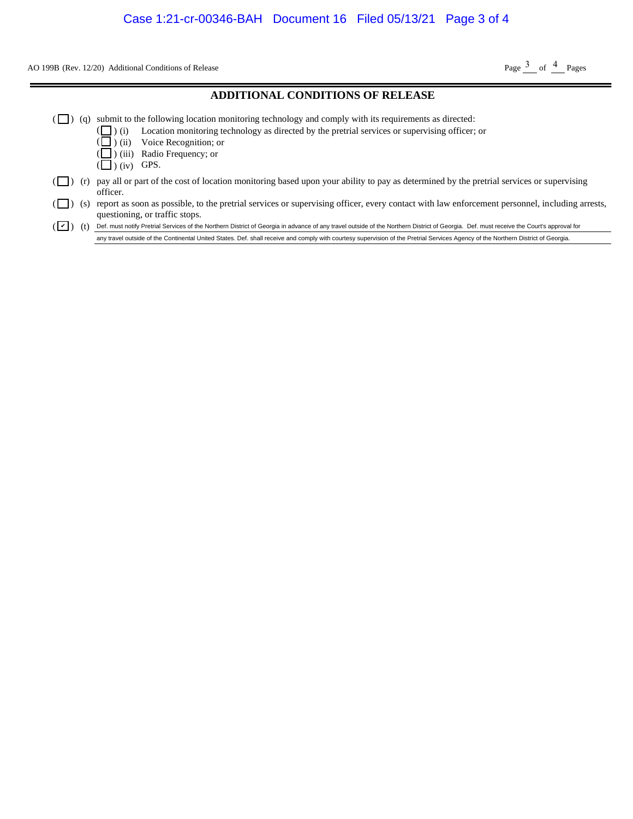AO 199B (Rev. 12/20) Additional Conditions of Release Page  $\frac{3}{2}$  of  $\frac{4}{2}$  Pages

#### **ADDITIONAL CONDITIONS OF RELEASE**  $(\Box)$  (q) submit to the following location monitoring technology and comply with its requirements as directed: ( ( (  $\left(\Box\right)$  (iv) GPS. ) ) ) (i) (ii) (iii) Location monitoring technology as directed by the pretrial services or supervising officer; or Voice Recognition; or Radio Frequency; or  $(\Box)$  (r) pay all or part of the cost of location monitoring based upon your ability to pay as determined by the pretrial services or supervising officer. ( $\Box$ ) (s) report as soon as possible, to the pretrial services or supervising officer, every contact with law enforcement personnel, including arrests, questioning, or traffic stops. (V) (t) Def. must notify Pretrial Services of the Northern District of Georgia in advance of any travel outside of the Northern District of Georgia. Def. must receive the Court's approval for **Example 10** Additional Conditions of Release<br> **ADDITIONAL CONDITIONS OF RELEASE**<br>
submit to the following location monitoring technology and comply with its requirements as directed:<br>
( $\Box$ ) (ii) Uccion monitoring techno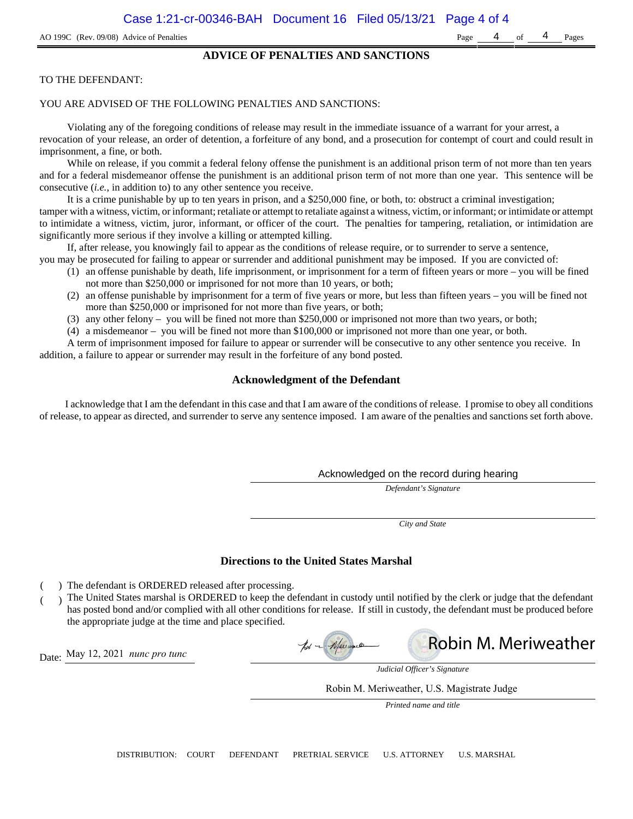### **ADVICE OF PENALTIES AND SANCTIONS**

#### TO THE DEFENDANT:

#### YOU ARE ADVISED OF THE FOLLOWING PENALTIES AND SANCTIONS:

Violating any of the foregoing conditions of release may result in the immediate issuance of a warrant for your arrest, a revocation of your release, an order of detention, a forfeiture of any bond, and a prosecution for contempt of court and could result in imprisonment, a fine, or both.

While on release, if you commit a federal felony offense the punishment is an additional prison term of not more than ten years and for a federal misdemeanor offense the punishment is an additional prison term of not more than one year. This sentence will be consecutive (*i.e.*, in addition to) to any other sentence you receive.

It is a crime punishable by up to ten years in prison, and a \$250,000 fine, or both, to: obstruct a criminal investigation; tamper with a witness, victim, or informant; retaliate or attempt to retaliate against a witness, victim, or informant; or intimidate or attempt to intimidate a witness, victim, juror, informant, or officer of the court. The penalties for tampering, retaliation, or intimidation are significantly more serious if they involve a killing or attempted killing.

If, after release, you knowingly fail to appear as the conditions of release require, or to surrender to serve a sentence,

- you may be prosecuted for failing to appear or surrender and additional punishment may be imposed. If you are convicted of:
	- (1) an offense punishable by death, life imprisonment, or imprisonment for a term of fifteen years or more you will be fined not more than \$250,000 or imprisoned for not more than 10 years, or both;
	- (2) an offense punishable by imprisonment for a term of five years or more, but less than fifteen years you will be fined not more than \$250,000 or imprisoned for not more than five years, or both;
	- (3) any other felony you will be fined not more than \$250,000 or imprisoned not more than two years, or both;
	- (4) a misdemeanor you will be fined not more than \$100,000 or imprisoned not more than one year, or both.

A term of imprisonment imposed for failure to appear or surrender will be consecutive to any other sentence you receive. In addition, a failure to appear or surrender may result in the forfeiture of any bond posted.

### **Acknowledgment of the Defendant**

I acknowledge that I am the defendant in this case and that I am aware of the conditions of release. I promise to obey all conditions of release, to appear as directed, and surrender to serve any sentence imposed. I am aware of the penalties and sanctions set forth above.

#### Acknowledged on the record during hearing

*Defendant's Signature*

*City and State*

#### **Directions to the United States Marshal**

- ) The defendant is ORDERED released after processing.
- ) The United States marshal is ORDERED to keep the defendant in custody until notified by the clerk or judge that the defendant has posted bond and/or complied with all other conditions for release. If still in custody, the defendant must be produced before the appropriate judge at the time and place specified.

Robin M. Meriweatherpot - Meimour

Date: May 12, 2021 *nunc pro tunc*



Robin M. Meriweather, U.S. Magistrate Judge

*Printed name and title*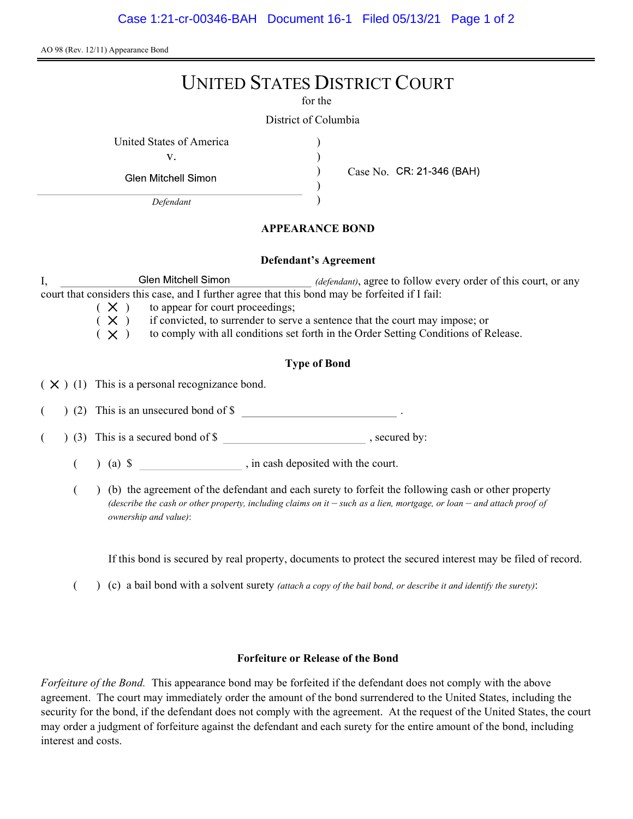AO 98 (Rev. 12/11) Appearance Bond

# UNITED STATES DISTRICT COURT

for the

) ) ) )

District of Columbia

United States of America (1996)

v.

**Glen Mitchell Simon** 

Defendant

Case No. CR: 21-346 (BAH)

# APPEARANCE BOND

## Defendant's Agreement

I, Glen Mitchell Simon *(defendant)*, agree to follow every order of this court, or any court that considers this case, and I further agree that this bond may be forfeited if I fail:

 $(X)$  to appear for court proceedings;

 $(X)$  if convicted, to surrender to serve a sentence that the court may impose; or

 $(X)$  to comply with all conditions set forth in the Order Setting Conditions of Release.

# Type of Bond

 $(X)$  (1) This is a personal recognizance bond.

(2) This is an unsecured bond of \$

 $($   $)$  (3) This is a secured bond of \$, secured by:

 $($  ) (a)  $\$  , in cash deposited with the court.

( ) (b) the agreement of the defendant and each surety to forfeit the following cash or other property (describe the cash or other property, including claims on it  $-$  such as a lien, mortgage, or loan  $-$  and attach proof of ownership and value):

If this bond is secured by real property, documents to protect the secured interest may be filed of record.

( $\)$  (c) a bail bond with a solvent surety *(attach a copy of the bail bond, or describe it and identify the surety)*:

# Forfeiture or Release of the Bond

Forfeiture of the Bond. This appearance bond may be forfeited if the defendant does not comply with the above agreement. The court may immediately order the amount of the bond surrendered to the United States, including the security for the bond, if the defendant does not comply with the agreement. At the request of the United States, the court may order a judgment of forfeiture against the defendant and each surety for the entire amount of the bond, including interest and costs.